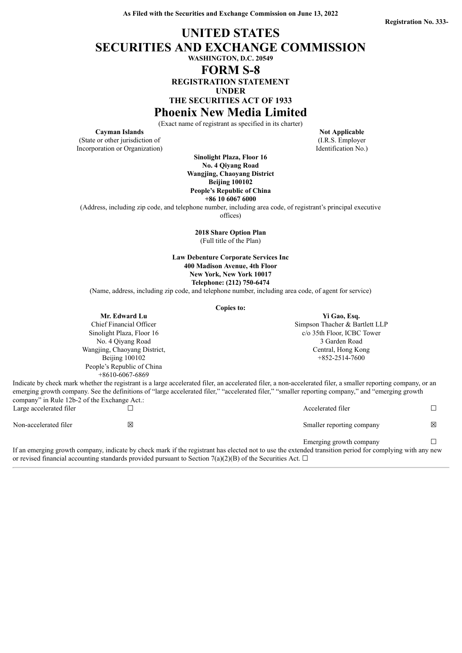# **UNITED STATES SECURITIES AND EXCHANGE COMMISSION WASHINGTON, D.C. 20549 FORM S-8 REGISTRATION STATEMENT UNDER THE SECURITIES ACT OF 1933**

**Phoenix New Media Limited**

(Exact name of registrant as specified in its charter)

(State or other jurisdiction of Incorporation or Organization)

**Sinolight Plaza, Floor 16 No. 4 Qiyang Road Wangjing, Chaoyang District Beijing 100102 People's Republic of China**

**+86 10 6067 6000**

(Address, including zip code, and telephone number, including area code, of registrant's principal executive offices)

**2018 Share Option Plan** (Full title of the Plan)

**Law Debenture Corporate Services Inc 400 Madison Avenue, 4th Floor New York, New York 10017 Telephone: (212) 750-6474**

(Name, address, including zip code, and telephone number, including area code, of agent for service)

**Copies to:**

| Mr. Edward Lu                | Yi Gao, Esq.                   |
|------------------------------|--------------------------------|
| Chief Financial Officer      | Simpson Thacher & Bartlett LLP |
| Sinolight Plaza, Floor 16    | c/o 35th Floor, ICBC Tower     |
| No. 4 Oiyang Road            | 3 Garden Road                  |
| Wangjing, Chaoyang District, | Central, Hong Kong             |
| Beijing 100102               | $+852-2514-7600$               |
| People's Republic of China   |                                |
| $+8610-6067-6869$            |                                |

Indicate by check mark whether the registrant is a large accelerated filer, an accelerated filer, a non-accelerated filer, a smaller reporting company, or an emerging growth company. See the definitions of "large accelerated filer," "accelerated filer," "smaller reporting company," and "emerging growth company" in Rule 12b-2 of the Exchange Act.:<br> $\Gamma$ arge accelerated filer

|                         | If an amarging growth company indicate by check mark if the registrant has closted not to use the extended transition period for complying with any new |                           |   |
|-------------------------|---------------------------------------------------------------------------------------------------------------------------------------------------------|---------------------------|---|
|                         |                                                                                                                                                         | Emerging growth company   |   |
| Non-accelerated filer   | ⊠                                                                                                                                                       | Smaller reporting company | 冈 |
| Large accelerated filer |                                                                                                                                                         | Accelerated filer         |   |

If an emerging growth company, indicate by check mark if the registrant has elected not to use the extended transition period for complying with any new or revised financial accounting standards provided pursuant to Section 7(a)(2)(B) of the Securities Act.  $\Box$ 

**Cayman Islands Not Applicable Not Applicable** (I.R.S. Employer Identification No.)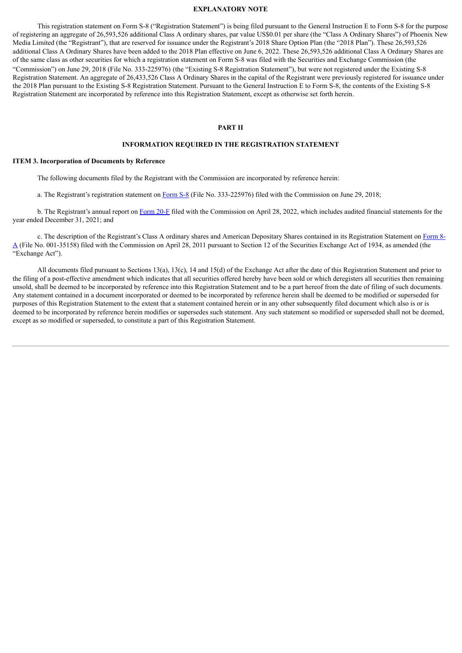#### **EXPLANATORY NOTE**

This registration statement on Form S-8 ("Registration Statement") is being filed pursuant to the General Instruction E to Form S-8 for the purpose of registering an aggregate of 26,593,526 additional Class A ordinary shares, par value US\$0.01 per share (the "Class A Ordinary Shares") of Phoenix New Media Limited (the "Registrant"), that are reserved for issuance under the Registrant's 2018 Share Option Plan (the "2018 Plan"). These 26,593,526 additional Class A Ordinary Shares have been added to the 2018 Plan effective on June 6, 2022. These 26,593,526 additional Class A Ordinary Shares are of the same class as other securities for which a registration statement on Form S-8 was filed with the Securities and Exchange Commission (the "Commission") on June 29, 2018 (File No. 333-225976) (the "Existing S-8 Registration Statement"), but were not registered under the Existing S-8 Registration Statement. An aggregate of 26,433,526 Class A Ordinary Shares in the capital of the Registrant were previously registered for issuance under the 2018 Plan pursuant to the Existing S-8 Registration Statement. Pursuant to the General Instruction E to Form S-8, the contents of the Existing S-8 Registration Statement are incorporated by reference into this Registration Statement, except as otherwise set forth herein.

#### **PART II**

#### **INFORMATION REQUIRED IN THE REGISTRATION STATEMENT**

#### **ITEM 3. Incorporation of Documents by Reference**

The following documents filed by the Registrant with the Commission are incorporated by reference herein:

a. The Registrant's registration statement on [Form](http://www.sec.gov/Archives/edgar/data/0001509646/000110465918042966/a18-15762_1s8.htm) S-8 (File No. 333-225976) filed with the Commission on June 29, 2018;

b. The Registrant's annual report on [Form](https://www.sec.gov/ix?doc=/Archives/edgar/data/0001509646/000156459022016225/feng-20f_20211231.htm) 20-F filed with the Commission on April 28, 2022, which includes audited financial statements for the year ended December 31, 2021; and

c. The description of the Registrant's Class A ordinary shares and American Depositary Shares contained in its Registration Statement on Form 8-A (File No. 001-35158) filed with the [Commission](http://www.sec.gov/Archives/edgar/data/0001509646/000110465911023085/a10-22779_58a12b.htm) on April 28, 2011 pursuant to Section 12 of the Securities Exchange Act of 1934, as amended (the "Exchange Act").

All documents filed pursuant to Sections 13(a), 13(c), 14 and 15(d) of the Exchange Act after the date of this Registration Statement and prior to the filing of a post-effective amendment which indicates that all securities offered hereby have been sold or which deregisters all securities then remaining unsold, shall be deemed to be incorporated by reference into this Registration Statement and to be a part hereof from the date of filing of such documents. Any statement contained in a document incorporated or deemed to be incorporated by reference herein shall be deemed to be modified or superseded for purposes of this Registration Statement to the extent that a statement contained herein or in any other subsequently filed document which also is or is deemed to be incorporated by reference herein modifies or supersedes such statement. Any such statement so modified or superseded shall not be deemed, except as so modified or superseded, to constitute a part of this Registration Statement.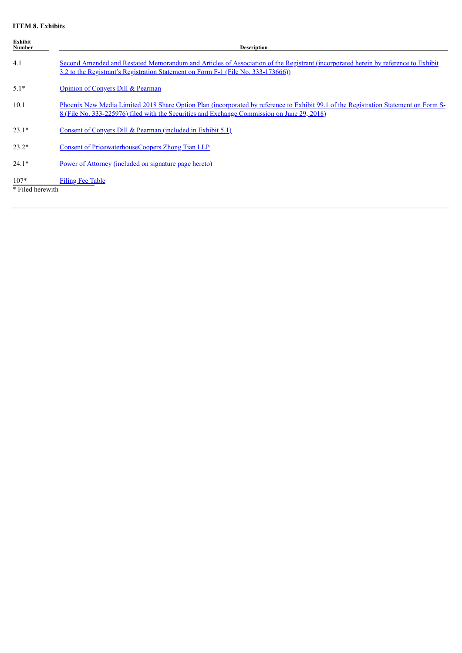### **ITEM 8. Exhibits**

| Exhibit<br>Number          | <b>Description</b>                                                                                                                                                                                                                  |
|----------------------------|-------------------------------------------------------------------------------------------------------------------------------------------------------------------------------------------------------------------------------------|
| 4.1                        | Second Amended and Restated Memorandum and Articles of Association of the Registrant (incorporated herein by reference to Exhibit<br>3.2 to the Registrant's Registration Statement on Form F-1 (File No. 333-173666))              |
| $5.1*$                     | Opinion of Convers Dill & Pearman                                                                                                                                                                                                   |
| 10.1                       | Phoenix New Media Limited 2018 Share Option Plan (incorporated by reference to Exhibit 99.1 of the Registration Statement on Form S-<br>8 (File No. 333-225976) filed with the Securities and Exchange Commission on June 29, 2018) |
| $23.1*$                    | Consent of Convers Dill & Pearman (included in Exhibit $5.1$ )                                                                                                                                                                      |
| $23.2*$                    | Consent of PricewaterhouseCoopers Zhong Tian LLP                                                                                                                                                                                    |
| $24.1*$                    | Power of Attorney (included on signature page hereto)                                                                                                                                                                               |
| $107*$<br>* Filed herewith | <b>Filing Fee Table</b>                                                                                                                                                                                                             |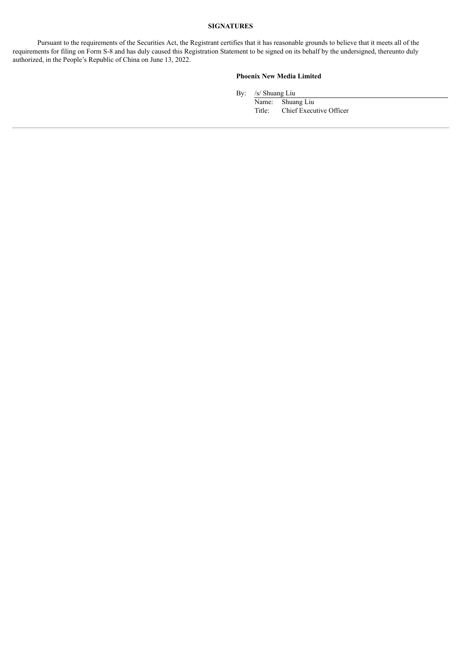# **SIGNATURES**

Pursuant to the requirements of the Securities Act, the Registrant certifies that it has reasonable grounds to believe that it meets all of the requirements for filing on Form S-8 and has duly caused this Registration Statement to be signed on its behalf by the undersigned, thereunto duly authorized, in the People's Republic of China on June 13, 2022.

#### **Phoenix New Media Limited**

By: /s/ Shuang Liu

Name: Shuang Liu Title: Chief Executive Officer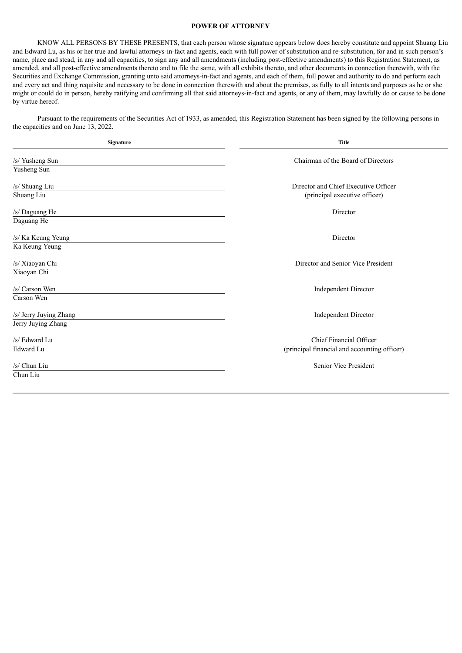#### **POWER OF ATTORNEY**

<span id="page-4-0"></span>KNOW ALL PERSONS BY THESE PRESENTS, that each person whose signature appears below does hereby constitute and appoint Shuang Liu and Edward Lu, as his or her true and lawful attorneys-in-fact and agents, each with full power of substitution and re-substitution, for and in such person's name, place and stead, in any and all capacities, to sign any and all amendments (including post-effective amendments) to this Registration Statement, as amended, and all post-effective amendments thereto and to file the same, with all exhibits thereto, and other documents in connection therewith, with the Securities and Exchange Commission, granting unto said attorneys-in-fact and agents, and each of them, full power and authority to do and perform each and every act and thing requisite and necessary to be done in connection therewith and about the premises, as fully to all intents and purposes as he or she might or could do in person, hereby ratifying and confirming all that said attorneys-in-fact and agents, or any of them, may lawfully do or cause to be done by virtue hereof.

Pursuant to the requirements of the Securities Act of 1933, as amended, this Registration Statement has been signed by the following persons in the capacities and on June 13, 2022.

| Signature              | <b>Title</b>                                 |
|------------------------|----------------------------------------------|
| /s/ Yusheng Sun        | Chairman of the Board of Directors           |
| Yusheng Sun            |                                              |
| /s/ Shuang Liu         | Director and Chief Executive Officer         |
| Shuang Liu             | (principal executive officer)                |
| /s/ Daguang He         | Director                                     |
| Daguang He             |                                              |
| /s/ Ka Keung Yeung     | Director                                     |
| Ka Keung Yeung         |                                              |
| /s/ Xiaoyan Chi        | Director and Senior Vice President           |
| Xiaoyan Chi            |                                              |
| /s/ Carson Wen         | <b>Independent Director</b>                  |
| Carson Wen             |                                              |
| /s/ Jerry Juying Zhang | <b>Independent Director</b>                  |
| Jerry Juying Zhang     |                                              |
| /s/ Edward Lu          | Chief Financial Officer                      |
| Edward Lu              | (principal financial and accounting officer) |
| /s/ Chun Liu           | Senior Vice President                        |
| Chun Liu               |                                              |
|                        |                                              |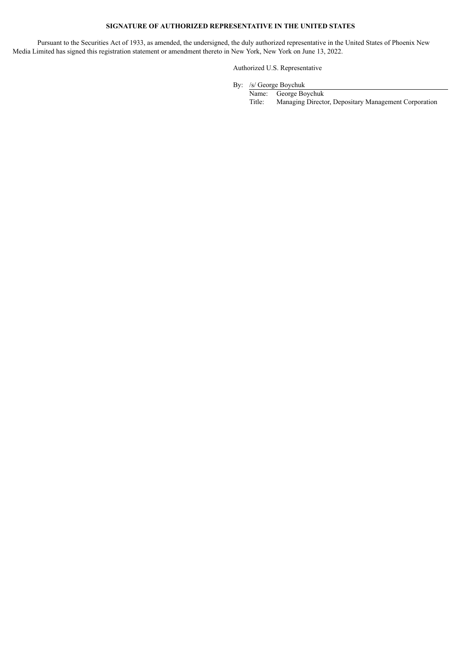# **SIGNATURE OF AUTHORIZED REPRESENTATIVE IN THE UNITED STATES**

Pursuant to the Securities Act of 1933, as amended, the undersigned, the duly authorized representative in the United States of Phoenix New Media Limited has signed this registration statement or amendment thereto in New York, New York on June 13, 2022.

### Authorized U.S. Representative

By: /s/ George Boychuk

Name: George Boychuk Title: Managing Director, Depositary Management Corporation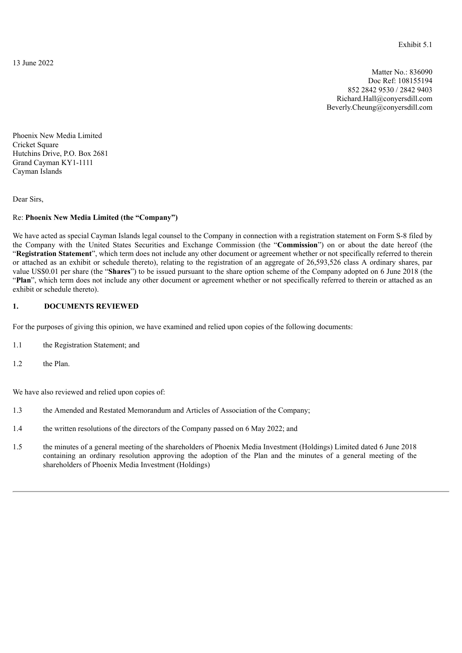<span id="page-6-0"></span>13 June 2022

Matter No.: 836090 Doc Ref: 108155194 852 2842 9530 / 2842 9403 Richard.Hall@conyersdill.com Beverly.Cheung@conyersdill.com

Phoenix New Media Limited Cricket Square Hutchins Drive, P.O. Box 2681 Grand Cayman KY1-1111 Cayman Islands

Dear Sirs,

# Re: **Phoenix New Media Limited (the "Company")**

We have acted as special Cayman Islands legal counsel to the Company in connection with a registration statement on Form S-8 filed by the Company with the United States Securities and Exchange Commission (the "**Commission**") on or about the date hereof (the "**Registration Statement**", which term does not include any other document or agreement whether or not specifically referred to therein or attached as an exhibit or schedule thereto), relating to the registration of an aggregate of 26,593,526 class A ordinary shares, par value US\$0.01 per share (the "**Shares**") to be issued pursuant to the share option scheme of the Company adopted on 6 June 2018 (the "**Plan**", which term does not include any other document or agreement whether or not specifically referred to therein or attached as an exhibit or schedule thereto).

# **1. DOCUMENTS REVIEWED**

For the purposes of giving this opinion, we have examined and relied upon copies of the following documents:

- 1.1 the Registration Statement; and
- 1.2 the Plan.

We have also reviewed and relied upon copies of:

- 1.3 the Amended and Restated Memorandum and Articles of Association of the Company;
- 1.4 the written resolutions of the directors of the Company passed on 6 May 2022; and
- 1.5 the minutes of a general meeting of the shareholders of Phoenix Media Investment (Holdings) Limited dated 6 June 2018 containing an ordinary resolution approving the adoption of the Plan and the minutes of a general meeting of the shareholders of Phoenix Media Investment (Holdings)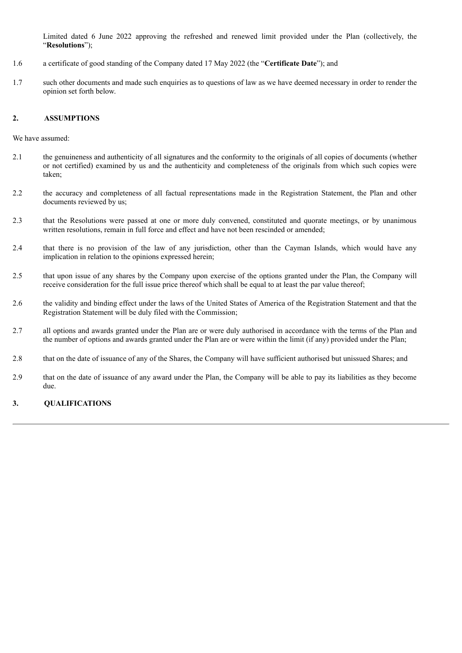Limited dated 6 June 2022 approving the refreshed and renewed limit provided under the Plan (collectively, the "**Resolutions**");

- 1.6 a certificate of good standing of the Company dated 17 May 2022 (the "**Certificate Date**"); and
- 1.7 such other documents and made such enquiries as to questions of law as we have deemed necessary in order to render the opinion set forth below.

# **2. ASSUMPTIONS**

We have assumed:

- 2.1 the genuineness and authenticity of all signatures and the conformity to the originals of all copies of documents (whether or not certified) examined by us and the authenticity and completeness of the originals from which such copies were taken;
- 2.2 the accuracy and completeness of all factual representations made in the Registration Statement, the Plan and other documents reviewed by us;
- 2.3 that the Resolutions were passed at one or more duly convened, constituted and quorate meetings, or by unanimous written resolutions, remain in full force and effect and have not been rescinded or amended;
- 2.4 that there is no provision of the law of any jurisdiction, other than the Cayman Islands, which would have any implication in relation to the opinions expressed herein;
- 2.5 that upon issue of any shares by the Company upon exercise of the options granted under the Plan, the Company will receive consideration for the full issue price thereof which shall be equal to at least the par value thereof;
- 2.6 the validity and binding effect under the laws of the United States of America of the Registration Statement and that the Registration Statement will be duly filed with the Commission;
- 2.7 all options and awards granted under the Plan are or were duly authorised in accordance with the terms of the Plan and the number of options and awards granted under the Plan are or were within the limit (if any) provided under the Plan;
- 2.8 that on the date of issuance of any of the Shares, the Company will have sufficient authorised but unissued Shares; and
- 2.9 that on the date of issuance of any award under the Plan, the Company will be able to pay its liabilities as they become due.

# **3. QUALIFICATIONS**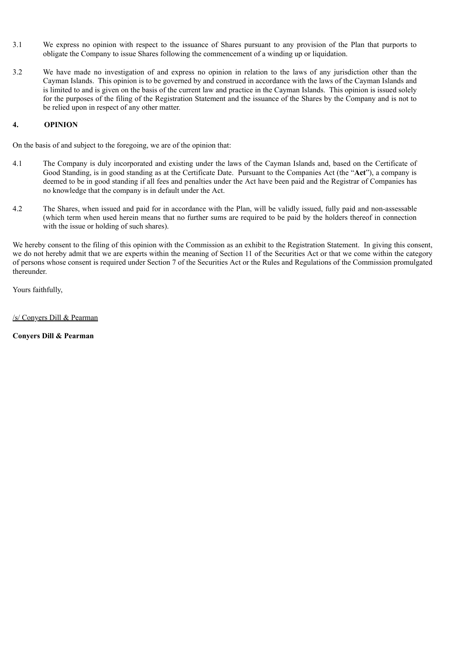- 3.1 We express no opinion with respect to the issuance of Shares pursuant to any provision of the Plan that purports to obligate the Company to issue Shares following the commencement of a winding up or liquidation.
- 3.2 We have made no investigation of and express no opinion in relation to the laws of any jurisdiction other than the Cayman Islands. This opinion is to be governed by and construed in accordance with the laws of the Cayman Islands and is limited to and is given on the basis of the current law and practice in the Cayman Islands. This opinion is issued solely for the purposes of the filing of the Registration Statement and the issuance of the Shares by the Company and is not to be relied upon in respect of any other matter.

# **4. OPINION**

On the basis of and subject to the foregoing, we are of the opinion that:

- 4.1 The Company is duly incorporated and existing under the laws of the Cayman Islands and, based on the Certificate of Good Standing, is in good standing as at the Certificate Date. Pursuant to the Companies Act (the "**Act**"), a company is deemed to be in good standing if all fees and penalties under the Act have been paid and the Registrar of Companies has no knowledge that the company is in default under the Act.
- 4.2 The Shares, when issued and paid for in accordance with the Plan, will be validly issued, fully paid and non-assessable (which term when used herein means that no further sums are required to be paid by the holders thereof in connection with the issue or holding of such shares).

We hereby consent to the filing of this opinion with the Commission as an exhibit to the Registration Statement. In giving this consent, we do not hereby admit that we are experts within the meaning of Section 11 of the Securities Act or that we come within the category of persons whose consent is required under Section 7 of the Securities Act or the Rules and Regulations of the Commission promulgated thereunder.

Yours faithfully,

/s/ Conyers Dill & Pearman

**Conyers Dill & Pearman**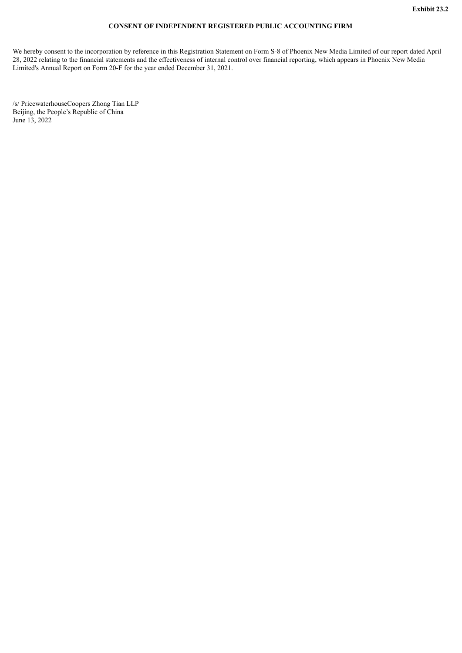# **CONSENT OF INDEPENDENT REGISTERED PUBLIC ACCOUNTING FIRM**

<span id="page-9-0"></span>We hereby consent to the incorporation by reference in this Registration Statement on Form S-8 of Phoenix New Media Limited of our report dated April 28, 2022 relating to the financial statements and the effectiveness of internal control over financial reporting, which appears in Phoenix New Media Limited's Annual Report on Form 20-F for the year ended December 31, 2021.

/s/ PricewaterhouseCoopers Zhong Tian LLP Beijing, the People's Republic of China June 13, 2022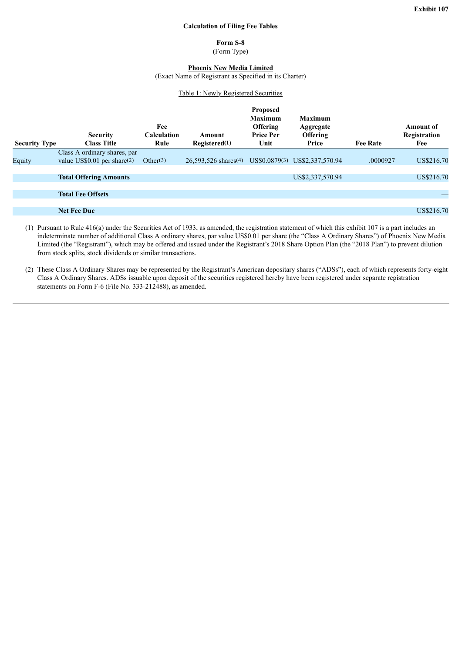#### **Calculation of Filing Fee Tables**

**Form S-8** (Form Type)

# **Phoenix New Media Limited**

(Exact Name of Registrant as Specified in its Charter)

#### Table 1: Newly Registered Securities

<span id="page-10-0"></span>

| <b>Security Type</b> | <b>Security</b><br><b>Class Title</b> | Fee<br><b>Calculation</b><br>Rule | Amount<br>Rejectered(1)                                                     | <b>Proposed</b><br>Maximum<br><b>Offering</b><br><b>Price Per</b><br>Unit | <b>Maximum</b><br>Aggregate<br><b>Offering</b><br>Price | <b>Fee Rate</b> | Amount of<br>Registration<br>Fee |
|----------------------|---------------------------------------|-----------------------------------|-----------------------------------------------------------------------------|---------------------------------------------------------------------------|---------------------------------------------------------|-----------------|----------------------------------|
|                      | Class A ordinary shares, par          |                                   |                                                                             |                                                                           |                                                         |                 |                                  |
| Equity               | value US\$0.01 per share(2)           | Other $(3)$                       | 26,593,526 shares <sup>(4)</sup> US\$0.0879 <sup>(3)</sup> US\$2,337,570.94 |                                                                           |                                                         | .0000927        | US\$216.70                       |
|                      |                                       |                                   |                                                                             |                                                                           |                                                         |                 |                                  |
|                      | <b>Total Offering Amounts</b>         |                                   |                                                                             |                                                                           | US\$2,337,570.94                                        |                 | US\$216.70                       |
|                      |                                       |                                   |                                                                             |                                                                           |                                                         |                 |                                  |
|                      | <b>Total Fee Offsets</b>              |                                   |                                                                             |                                                                           |                                                         |                 |                                  |
|                      |                                       |                                   |                                                                             |                                                                           |                                                         |                 |                                  |
|                      | <b>Net Fee Due</b>                    |                                   |                                                                             |                                                                           |                                                         |                 | US\$216.70                       |
|                      |                                       |                                   |                                                                             |                                                                           |                                                         |                 |                                  |

(1) Pursuant to Rule 416(a) under the Securities Act of 1933, as amended, the registration statement of which this exhibit 107 is a part includes an indeterminate number of additional Class A ordinary shares, par value US\$0.01 per share (the "Class A Ordinary Shares") of Phoenix New Media Limited (the "Registrant"), which may be offered and issued under the Registrant's 2018 Share Option Plan (the "2018 Plan") to prevent dilution from stock splits, stock dividends or similar transactions.

(2) These Class A Ordinary Shares may be represented by the Registrant's American depositary shares ("ADSs"), each of which represents forty-eight Class A Ordinary Shares. ADSs issuable upon deposit of the securities registered hereby have been registered under separate registration statements on Form F-6 (File No. 333-212488), as amended.